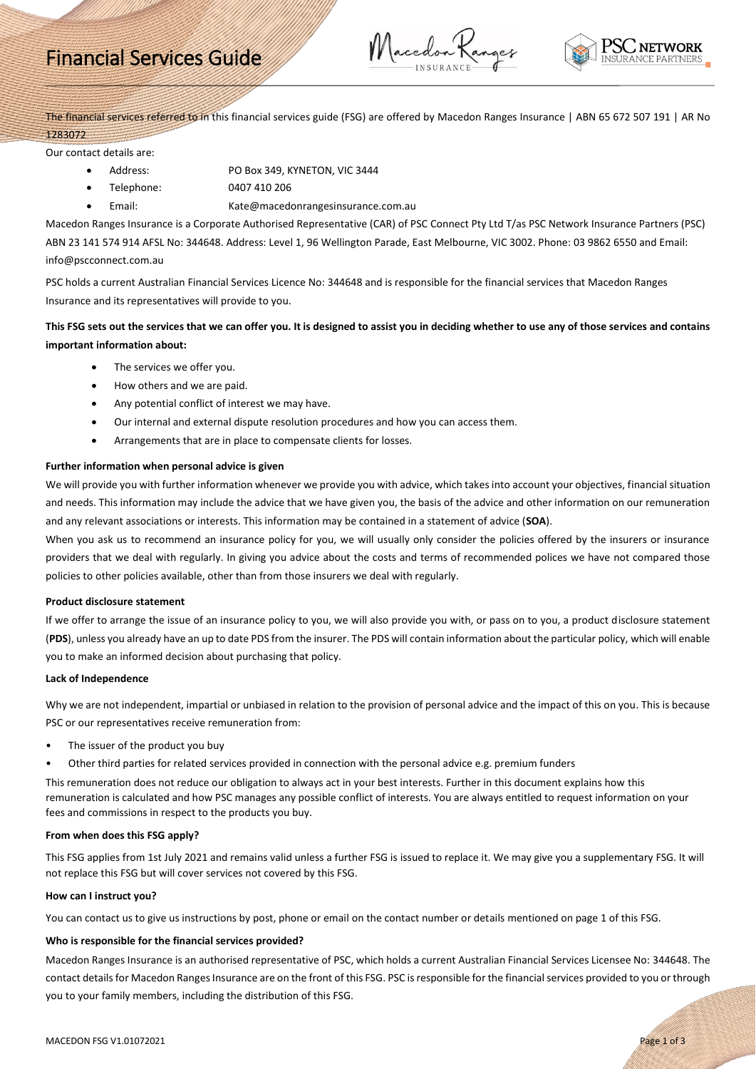# Financial Services Guide

Macedon Ranger



The financial services referred to in this financial services guide (FSG) are offered by Macedon Ranges Insurance | ABN 65 672 507 191 | AR No 1283072

Our contact details are:

- Address: PO Box 349, KYNETON, VIC 3444
	- Telephone: 0407 410 206
- Email: Kate@macedonrangesinsurance.com.au

Macedon Ranges Insurance is a Corporate Authorised Representative (CAR) of PSC Connect Pty Ltd T/as PSC Network Insurance Partners (PSC) ABN 23 141 574 914 AFSL No: 344648. Address: Level 1, 96 Wellington Parade, East Melbourne, VIC 3002. Phone: 03 9862 6550 and Email: info@pscconnect.com.au

PSC holds a current Australian Financial Services Licence No: 344648 and is responsible for the financial services that Macedon Ranges Insurance and its representatives will provide to you.

# **This FSG sets out the services that we can offer you. It is designed to assist you in deciding whether to use any of those services and contains important information about:**

- The services we offer you.
- How others and we are paid.
- Any potential conflict of interest we may have.
- Our internal and external dispute resolution procedures and how you can access them.
- Arrangements that are in place to compensate clients for losses.

# **Further information when personal advice is given**

We will provide you with further information whenever we provide you with advice, which takes into account your objectives, financial situation and needs. This information may include the advice that we have given you, the basis of the advice and other information on our remuneration and any relevant associations or interests. This information may be contained in a statement of advice (**SOA**).

When you ask us to recommend an insurance policy for you, we will usually only consider the policies offered by the insurers or insurance providers that we deal with regularly. In giving you advice about the costs and terms of recommended polices we have not compared those policies to other policies available, other than from those insurers we deal with regularly.

#### **Product disclosure statement**

If we offer to arrange the issue of an insurance policy to you, we will also provide you with, or pass on to you, a product disclosure statement (**PDS**), unless you already have an up to date PDS from the insurer. The PDS will contain information about the particular policy, which will enable you to make an informed decision about purchasing that policy.

#### **Lack of Independence**

Why we are not independent, impartial or unbiased in relation to the provision of personal advice and the impact of this on you. This is because PSC or our representatives receive remuneration from:

- The issuer of the product you buy
- Other third parties for related services provided in connection with the personal advice e.g. premium funders

This remuneration does not reduce our obligation to always act in your best interests. Further in this document explains how this remuneration is calculated and how PSC manages any possible conflict of interests. You are always entitled to request information on your fees and commissions in respect to the products you buy.

#### **From when does this FSG apply?**

This FSG applies from 1st July 2021 and remains valid unless a further FSG is issued to replace it. We may give you a supplementary FSG. It will not replace this FSG but will cover services not covered by this FSG.

#### **How can I instruct you?**

You can contact us to give us instructions by post, phone or email on the contact number or details mentioned on page 1 of this FSG.

#### **Who is responsible for the financial services provided?**

Macedon Ranges Insurance is an authorised representative of PSC, which holds a current Australian Financial Services Licensee No: 344648. The contact details for Macedon Ranges Insurance are on the front of this FSG. PSC is responsible for the financial services provided to you or through you to your family members, including the distribution of this FSG.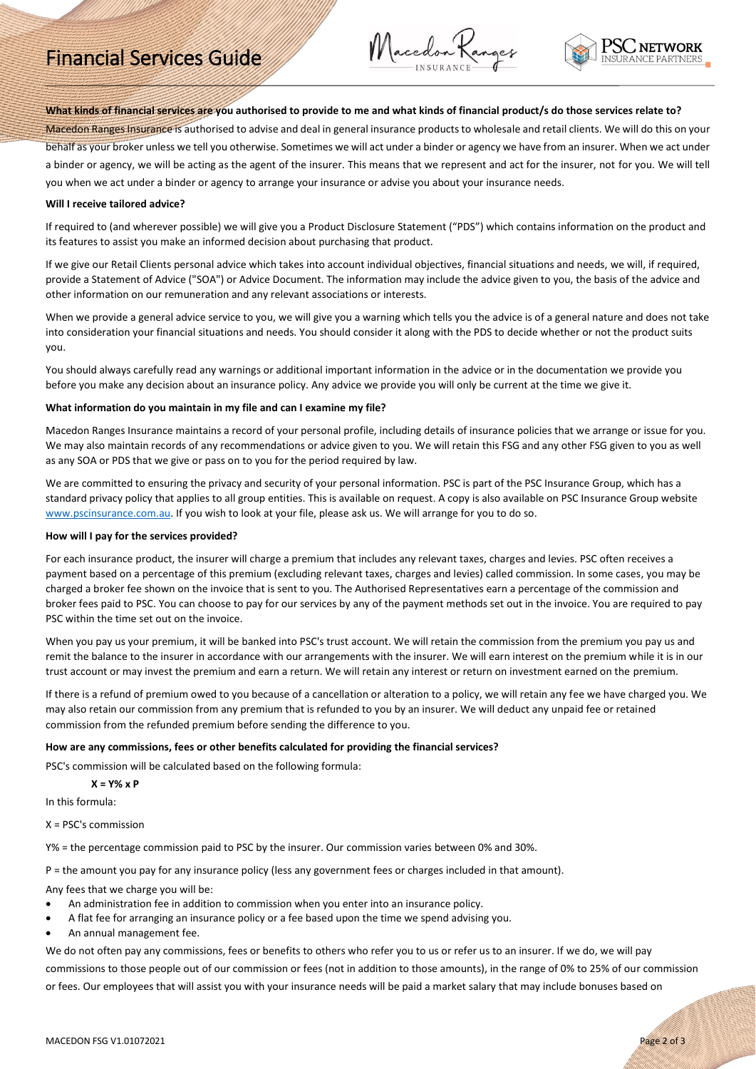# Financial Services Guide

Macedon Ranger



# **What kinds of financial services are you authorised to provide to me and what kinds of financial product/s do those services relate to?**

Macedon Ranges Insurance is authorised to advise and deal in general insurance products to wholesale and retail clients. We will do this on your behalf as your broker unless we tell you otherwise. Sometimes we will act under a binder or agency we have from an insurer. When we act under a binder or agency, we will be acting as the agent of the insurer. This means that we represent and act for the insurer, not for you. We will tell you when we act under a binder or agency to arrange your insurance or advise you about your insurance needs.

#### **Will I receive tailored advice?**

If required to (and wherever possible) we will give you a Product Disclosure Statement ("PDS") which contains information on the product and its features to assist you make an informed decision about purchasing that product.

If we give our Retail Clients personal advice which takes into account individual objectives, financial situations and needs, we will, if required, provide a Statement of Advice ("SOA") or Advice Document. The information may include the advice given to you, the basis of the advice and other information on our remuneration and any relevant associations or interests.

When we provide a general advice service to you, we will give you a warning which tells you the advice is of a general nature and does not take into consideration your financial situations and needs. You should consider it along with the PDS to decide whether or not the product suits you.

You should always carefully read any warnings or additional important information in the advice or in the documentation we provide you before you make any decision about an insurance policy. Any advice we provide you will only be current at the time we give it.

# **What information do you maintain in my file and can I examine my file?**

Macedon Ranges Insurance maintains a record of your personal profile, including details of insurance policies that we arrange or issue for you. We may also maintain records of any recommendations or advice given to you. We will retain this FSG and any other FSG given to you as well as any SOA or PDS that we give or pass on to you for the period required by law.

We are committed to ensuring the privacy and security of your personal information. PSC is part of the PSC Insurance Group, which has a standard privacy policy that applies to all group entities. This is available on request. A copy is also available on PSC Insurance Group website [www.pscinsurance.com.au.](http://www.pscinsurance.com.au/) If you wish to look at your file, please ask us. We will arrange for you to do so.

#### **How will I pay for the services provided?**

For each insurance product, the insurer will charge a premium that includes any relevant taxes, charges and levies. PSC often receives a payment based on a percentage of this premium (excluding relevant taxes, charges and levies) called commission. In some cases, you may be charged a broker fee shown on the invoice that is sent to you. The Authorised Representatives earn a percentage of the commission and broker fees paid to PSC. You can choose to pay for our services by any of the payment methods set out in the invoice. You are required to pay PSC within the time set out on the invoice.

When you pay us your premium, it will be banked into PSC's trust account. We will retain the commission from the premium you pay us and remit the balance to the insurer in accordance with our arrangements with the insurer. We will earn interest on the premium while it is in our trust account or may invest the premium and earn a return. We will retain any interest or return on investment earned on the premium.

If there is a refund of premium owed to you because of a cancellation or alteration to a policy, we will retain any fee we have charged you. We may also retain our commission from any premium that is refunded to you by an insurer. We will deduct any unpaid fee or retained commission from the refunded premium before sending the difference to you.

#### **How are any commissions, fees or other benefits calculated for providing the financial services?**

PSC's commission will be calculated based on the following formula:

### **X = Y% x P**

In this formula:

 $X = PSC's$  commission

Y% = the percentage commission paid to PSC by the insurer. Our commission varies between 0% and 30%.

P = the amount you pay for any insurance policy (less any government fees or charges included in that amount).

Any fees that we charge you will be:

- An administration fee in addition to commission when you enter into an insurance policy.
- A flat fee for arranging an insurance policy or a fee based upon the time we spend advising you.
- An annual management fee.

We do not often pay any commissions, fees or benefits to others who refer you to us or refer us to an insurer. If we do, we will pay commissions to those people out of our commission or fees (not in addition to those amounts), in the range of 0% to 25% of our commission or fees. Our employees that will assist you with your insurance needs will be paid a market salary that may include bonuses based on